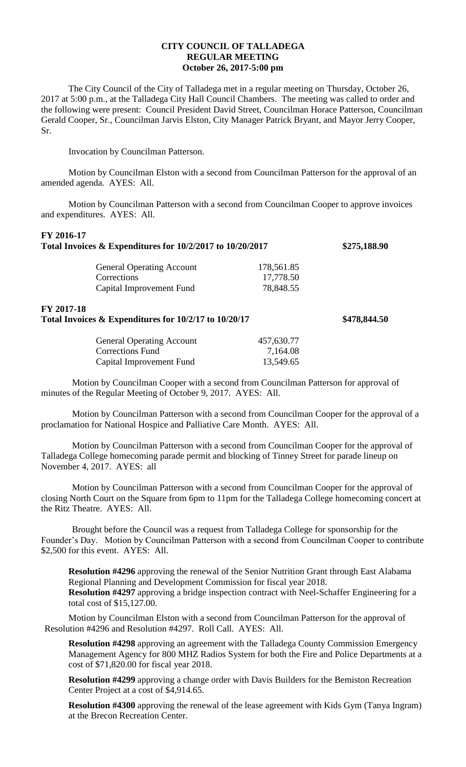## **CITY COUNCIL OF TALLADEGA REGULAR MEETING October 26, 2017-5:00 pm**

The City Council of the City of Talladega met in a regular meeting on Thursday, October 26, 2017 at 5:00 p.m., at the Talladega City Hall Council Chambers. The meeting was called to order and the following were present: Council President David Street, Councilman Horace Patterson, Councilman Gerald Cooper, Sr., Councilman Jarvis Elston, City Manager Patrick Bryant, and Mayor Jerry Cooper, Sr.

Invocation by Councilman Patterson.

Motion by Councilman Elston with a second from Councilman Patterson for the approval of an amended agenda. AYES: All.

Motion by Councilman Patterson with a second from Councilman Cooper to approve invoices and expenditures. AYES: All.

| FY 2016-17<br>Total Invoices & Expenditures for 10/2/2017 to 10/20/2017 | \$275,188.90                     |            |              |
|-------------------------------------------------------------------------|----------------------------------|------------|--------------|
|                                                                         | <b>General Operating Account</b> | 178,561.85 |              |
|                                                                         | Corrections                      | 17,778.50  |              |
|                                                                         | Capital Improvement Fund         | 78,848.55  |              |
| FY 2017-18<br>Total Invoices & Expenditures for 10/2/17 to 10/20/17     |                                  |            | \$478,844.50 |
|                                                                         | <b>General Operating Account</b> | 457,630.77 |              |
|                                                                         | <b>Corrections Fund</b>          | 7,164.08   |              |
|                                                                         | Capital Improvement Fund         | 13,549.65  |              |
|                                                                         |                                  |            |              |

Motion by Councilman Cooper with a second from Councilman Patterson for approval of minutes of the Regular Meeting of October 9, 2017. AYES: All.

Motion by Councilman Patterson with a second from Councilman Cooper for the approval of a proclamation for National Hospice and Palliative Care Month. AYES: All.

Motion by Councilman Patterson with a second from Councilman Cooper for the approval of Talladega College homecoming parade permit and blocking of Tinney Street for parade lineup on November 4, 2017. AYES: all

Motion by Councilman Patterson with a second from Councilman Cooper for the approval of closing North Court on the Square from 6pm to 11pm for the Talladega College homecoming concert at the Ritz Theatre. AYES: All.

Brought before the Council was a request from Talladega College for sponsorship for the Founder's Day. Motion by Councilman Patterson with a second from Councilman Cooper to contribute \$2,500 for this event. AYES: All.

**Resolution #4296** approving the renewal of the Senior Nutrition Grant through East Alabama Regional Planning and Development Commission for fiscal year 2018. **Resolution #4297** approving a bridge inspection contract with Neel-Schaffer Engineering for a total cost of \$15,127.00.

Motion by Councilman Elston with a second from Councilman Patterson for the approval of Resolution #4296 and Resolution #4297. Roll Call. AYES: All.

**Resolution #4298** approving an agreement with the Talladega County Commission Emergency Management Agency for 800 MHZ Radios System for both the Fire and Police Departments at a cost of \$71,820.00 for fiscal year 2018.

**Resolution #4299** approving a change order with Davis Builders for the Bemiston Recreation Center Project at a cost of \$4,914.65.

**Resolution #4300** approving the renewal of the lease agreement with Kids Gym (Tanya Ingram) at the Brecon Recreation Center.